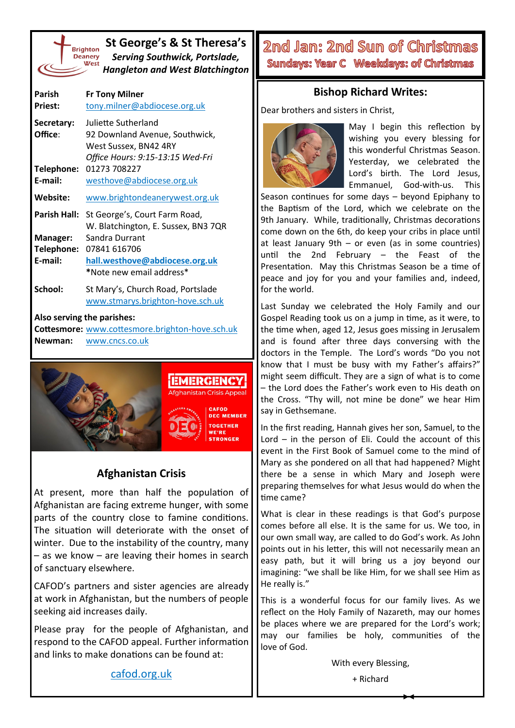

**St George's & St Theresa's** *Serving Southwick, Portslade, Hangleton and West Blatchington*

| Parish<br><b>Priest:</b>                 | <b>Fr Tony Milner</b><br>tony.milner@abdiocese.org.uk                                                              |
|------------------------------------------|--------------------------------------------------------------------------------------------------------------------|
| Secretary:<br>Office:                    | Juliette Sutherland<br>92 Downland Avenue, Southwick,<br>West Sussex, BN42 4RY<br>Office Hours: 9:15-13:15 Wed-Fri |
| Telephone:<br>E-mail:                    | 01273 708227<br>westhove@abdiocese.org.uk                                                                          |
| Website:                                 | www.brightondeanerywest.org.uk                                                                                     |
| Parish Hall:                             | St George's, Court Farm Road,<br>W. Blatchington, E. Sussex, BN3 7QR                                               |
| <b>Manager:</b><br>Telephone:<br>E-mail: | Sandra Durrant<br>07841 616706<br>hall.westhove@abdiocese.org.uk<br>*Note new email address*                       |
| School:                                  | St Mary's, Church Road, Portslade<br>www.stmarys.brighton-hove.sch.uk                                              |

**Also serving the parishes:**

**Cottesmore:** [www.cottesmore.brighton](http://www.cottesmore.brighton-hove.sch.uk)-hove.sch.uk **Newman:** [www.cncs.co.uk](https://www.cncs.co.uk/)



## **Afghanistan Crisis**

At present, more than half the population of Afghanistan are facing extreme hunger, with some parts of the country close to famine conditions. The situation will deteriorate with the onset of winter. Due to the instability of the country, many – as we know – are leaving their homes in search of sanctuary elsewhere.

CAFOD's partners and sister agencies are already at work in Afghanistan, but the numbers of people seeking aid increases daily.

Please pray for the people of Afghanistan, and respond to the CAFOD appeal. Further information and links to make donations can be found at:

2nd Jan: 2nd Sun of Christmas Sundays: Year C Weekdays: of Christmas

## **Bishop Richard Writes:**

Dear brothers and sisters in Christ,



May I begin this reflection by wishing you every blessing for this wonderful Christmas Season. Yesterday, we celebrated the Lord's birth. The Lord Jesus, Emmanuel, God-with-us. This

Season continues for some days – beyond Epiphany to the Baptism of the Lord, which we celebrate on the 9th January. While, traditionally, Christmas decorations come down on the 6th, do keep your cribs in place until at least January 9th – or even (as in some countries) until the 2nd February – the Feast of the Presentation. May this Christmas Season be a time of peace and joy for you and your families and, indeed, for the world.

Last Sunday we celebrated the Holy Family and our Gospel Reading took us on a jump in time, as it were, to the time when, aged 12, Jesus goes missing in Jerusalem and is found after three days conversing with the doctors in the Temple. The Lord's words "Do you not know that I must be busy with my Father's affairs?" might seem difficult. They are a sign of what is to come – the Lord does the Father's work even to His death on the Cross. "Thy will, not mine be done" we hear Him say in Gethsemane.

In the first reading, Hannah gives her son, Samuel, to the Lord – in the person of Eli. Could the account of this event in the First Book of Samuel come to the mind of Mary as she pondered on all that had happened? Might there be a sense in which Mary and Joseph were preparing themselves for what Jesus would do when the time came?

What is clear in these readings is that God's purpose comes before all else. It is the same for us. We too, in our own small way, are called to do God's work. As John points out in his letter, this will not necessarily mean an easy path, but it will bring us a joy beyond our imagining: "we shall be like Him, for we shall see Him as He really is."

This is a wonderful focus for our family lives. As we reflect on the Holy Family of Nazareth, may our homes be places where we are prepared for the Lord's work; may our families be holy, communities of the love of God.

With every Blessing,

[cafod.org.uk](https://cafod.org.uk/Give/Donate-to-Emergencies/DEC-Afghanistan-Crisis-Appeal)

+ Richard